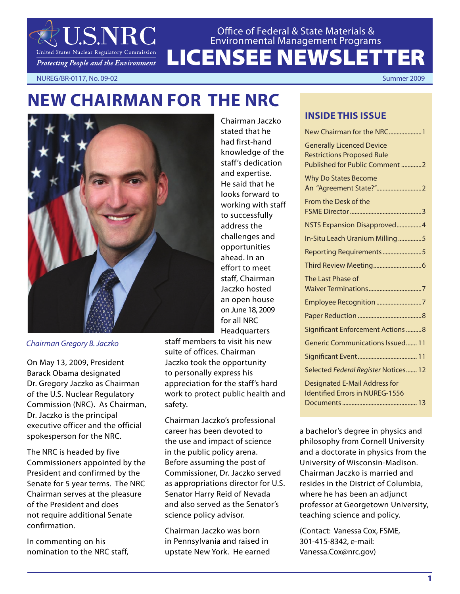

# LICENSEE NEWSLETTER Office of Federal & State Materials & Environmental Management Programs

NUREG/BR-0117, No. 09-02 Summer 2009

# **NEW CHAIRMAN FOR THE NRC**



*Chairman Gregory B. Jaczko*

On May 13, 2009, President Barack Obama designated Dr. Gregory Jaczko as Chairman of the U.S. Nuclear Regulatory Commission (NRC). As Chairman, Dr. Jaczko is the principal executive officer and the official spokesperson for the NRC.

The NRC is headed by five Commissioners appointed by the President and confirmed by the Senate for 5 year terms. The NRC Chairman serves at the pleasure of the President and does not require additional Senate confirmation.

In commenting on his nomination to the NRC staff,

Chairman Jaczko stated that he had first-hand knowledge of the staff's dedication and expertise. He said that he looks forward to working with staff to successfully address the challenges and opportunities ahead. In an effort to meet staff, Chairman Jaczko hosted an open house on June 18, 2009 for all NRC **Headquarters** 

staff members to visit his new suite of offices. Chairman Jaczko took the opportunity to personally express his appreciation for the staff's hard work to protect public health and safety.

Chairman Jaczko's professional career has been devoted to the use and impact of science in the public policy arena. Before assuming the post of Commissioner, Dr. Jaczko served as appropriations director for U.S. Senator Harry Reid of Nevada and also served as the Senator's science policy advisor.

Chairman Jaczko was born in Pennsylvania and raised in upstate New York. He earned

# **INSIDE THIS ISSUE**

| New Chairman for the NRC1                                                                               |
|---------------------------------------------------------------------------------------------------------|
| <b>Generally Licenced Device</b><br><b>Restrictions Proposed Rule</b><br>Published for Public Comment 2 |
| <b>Why Do States Become</b>                                                                             |
| From the Desk of the                                                                                    |
| NSTS Expansion Disapproved4                                                                             |
| In-Situ Leach Uranium Milling5                                                                          |
| Reporting Requirements5                                                                                 |
|                                                                                                         |
| The Last Phase of                                                                                       |
|                                                                                                         |
| Employee Recognition 7                                                                                  |
|                                                                                                         |
| Significant Enforcement Actions 8                                                                       |
| <b>Generic Communications Issued 11</b>                                                                 |
|                                                                                                         |
| Selected Federal Register Notices 12                                                                    |

a bachelor's degree in physics and philosophy from Cornell University and a doctorate in physics from the University of Wisconsin-Madison. Chairman Jaczko is married and resides in the District of Columbia, where he has been an adjunct professor at Georgetown University, teaching science and policy.

(Contact: Vanessa Cox, FSME, 301-415-8342, e-mail: Vanessa.Cox@nrc.gov)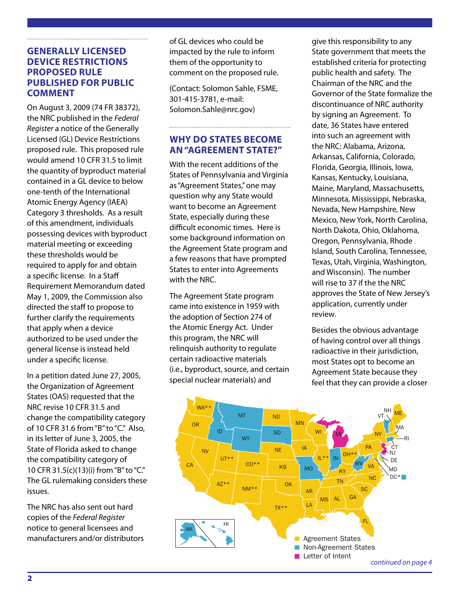# **Generally Licensed Device Restrictions Proposed Rule Published for Public Comment**

On August 3, 2009 (74 FR 38372), the NRC published in the *Federal Register* a notice of the Generally Licensed (GL) Device Restrictions proposed rule. This proposed rule would amend 10 CFR 31.5 to limit the quantity of byproduct material contained in a GL device to below one-tenth of the International Atomic Energy Agency (IAEA) Category 3 thresholds. As a result of this amendment, individuals possessing devices with byproduct material meeting or exceeding these thresholds would be required to apply for and obtain a specific license. In a Staff Requirement Memorandum dated May 1, 2009, the Commission also directed the staff to propose to further clarify the requirements that apply when a device authorized to be used under the general license is instead held under a specific license.

In a petition dated June 27, 2005, the Organization of Agreement States (OAS) requested that the NRC revise 10 CFR 31.5 and change the compatibility category of 10 CFR 31.6 from "B" to "C." Also, in its letter of June 3, 2005, the State of Florida asked to change the compatibility category of 10 CFR 31.5(c)(13)(i) from "B" to "C." The GL rulemaking considers these issues.

The NRC has also sent out hard copies of the *Federal Register* notice to general licensees and manufacturers and/or distributors of GL devices who could be impacted by the rule to inform them of the opportunity to comment on the proposed rule.

(Contact: Solomon Sahle, FSME, 301-415-3781, e-mail: Solomon.Sahle@nrc.gov)

# **WHY do STATES BECOME AN "AGREEMENT STATE?"**

With the recent additions of the States of Pennsylvania and Virginia as "Agreement States," one may question why any State would want to become an Agreement State, especially during these difficult economic times. Here is some background information on the Agreement State program and a few reasons that have prompted States to enter into Agreements with the NRC.

The Agreement State program came into existence in 1959 with the adoption of Section 274 of the Atomic Energy Act. Under this program, the NRC will relinquish authority to regulate certain radioactive materials (i.e., byproduct, source, and certain special nuclear materials) and

give this responsibility to any State government that meets the established criteria for protecting public health and safety. The Chairman of the NRC and the Governor of the State formalize the discontinuance of NRC authority by signing an Agreement. To date, 36 States have entered into such an agreement with the NRC: Alabama, Arizona, Arkansas, California, Colorado, Florida, Georgia, Illinois, Iowa, Kansas, Kentucky, Louisiana, Maine, Maryland, Massachusetts, Minnesota, Mississippi, Nebraska, Nevada, New Hampshire, New Mexico, New York, North Carolina, North Dakota, Ohio, Oklahoma, Oregon, Pennsylvania, Rhode Island, South Carolina, Tennessee, Texas, Utah, Virginia, Washington, and Wisconsin). The number will rise to 37 if the the NRC approves the State of New Jersey's application, currently under review.

Besides the obvious advantage of having control over all things radioactive in their jurisdiction, most States opt to become an Agreement State because they feel that they can provide a closer

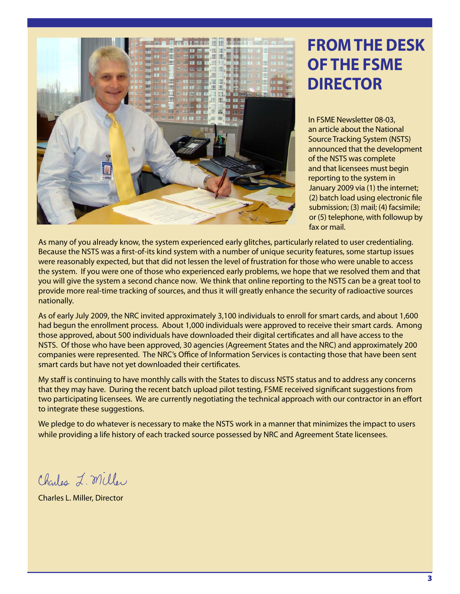

# **from the desk of the fsme director**

In FSME Newsletter 08-03, an article about the National Source Tracking System (NSTS) announced that the development of the NSTS was complete and that licensees must begin reporting to the system in January 2009 via (1) the internet; (2) batch load using electronic file submission; (3) mail; (4) facsimile; or (5) telephone, with followup by fax or mail.

As many of you already know, the system experienced early glitches, particularly related to user credentialing. Because the NSTS was a first-of-its kind system with a number of unique security features, some startup issues were reasonably expected, but that did not lessen the level of frustration for those who were unable to access the system. If you were one of those who experienced early problems, we hope that we resolved them and that you will give the system a second chance now. We think that online reporting to the NSTS can be a great tool to provide more real-time tracking of sources, and thus it will greatly enhance the security of radioactive sources nationally.

As of early July 2009, the NRC invited approximately 3,100 individuals to enroll for smart cards, and about 1,600 had begun the enrollment process. About 1,000 individuals were approved to receive their smart cards. Among those approved, about 500 individuals have downloaded their digital certificates and all have access to the NSTS. Of those who have been approved, 30 agencies (Agreement States and the NRC) and approximately 200 companies were represented. The NRC's Office of Information Services is contacting those that have been sent smart cards but have not yet downloaded their certificates.

My staff is continuing to have monthly calls with the States to discuss NSTS status and to address any concerns that they may have. During the recent batch upload pilot testing, FSME received significant suggestions from two participating licensees. We are currently negotiating the technical approach with our contractor in an effort to integrate these suggestions.

We pledge to do whatever is necessary to make the NSTS work in a manner that minimizes the impact to users while providing a life history of each tracked source possessed by NRC and Agreement State licensees.

Charles L. Miller

Charles L. Miller, Director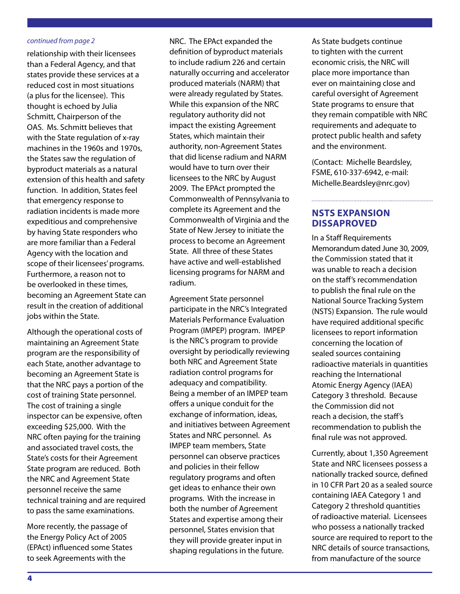#### *continued from page 2*

relationship with their licensees than a Federal Agency, and that states provide these services at a reduced cost in most situations (a plus for the licensee). This thought is echoed by Julia Schmitt, Chairperson of the OAS. Ms. Schmitt believes that with the State regulation of x-ray machines in the 1960s and 1970s, the States saw the regulation of byproduct materials as a natural extension of this health and safety function. In addition, States feel that emergency response to radiation incidents is made more expeditious and comprehensive by having State responders who are more familiar than a Federal Agency with the location and scope of their licensees' programs. Furthermore, a reason not to be overlooked in these times, becoming an Agreement State can result in the creation of additional jobs within the State.

Although the operational costs of maintaining an Agreement State program are the responsibility of each State, another advantage to becoming an Agreement State is that the NRC pays a portion of the cost of training State personnel. The cost of training a single inspector can be expensive, often exceeding \$25,000. With the NRC often paying for the training and associated travel costs, the State's costs for their Agreement State program are reduced. Both the NRC and Agreement State personnel receive the same technical training and are required to pass the same examinations.

More recently, the passage of the Energy Policy Act of 2005 (EPAct) influenced some States to seek Agreements with the

NRC. The EPAct expanded the definition of byproduct materials to include radium 226 and certain naturally occurring and accelerator produced materials (NARM) that were already regulated by States. While this expansion of the NRC regulatory authority did not impact the existing Agreement States, which maintain their authority, non-Agreement States that did license radium and NARM would have to turn over their licensees to the NRC by August 2009. The EPAct prompted the Commonwealth of Pennsylvania to complete its Agreement and the Commonwealth of Virginia and the State of New Jersey to initiate the process to become an Agreement State. All three of these States have active and well-established licensing programs for NARM and radium.

Agreement State personnel participate in the NRC's Integrated Materials Performance Evaluation Program (IMPEP) program. IMPEP is the NRC's program to provide oversight by periodically reviewing both NRC and Agreement State radiation control programs for adequacy and compatibility. Being a member of an IMPEP team offers a unique conduit for the exchange of information, ideas, and initiatives between Agreement States and NRC personnel. As IMPEP team members, State personnel can observe practices and policies in their fellow regulatory programs and often get ideas to enhance their own programs. With the increase in both the number of Agreement States and expertise among their personnel, States envision that they will provide greater input in shaping regulations in the future.

As State budgets continue to tighten with the current economic crisis, the NRC will place more importance than ever on maintaining close and careful oversight of Agreement State programs to ensure that they remain compatible with NRC requirements and adequate to protect public health and safety and the environment.

(Contact: Michelle Beardsley, FSME, 610-337-6942, e-mail: Michelle.Beardsley@nrc.gov)

#### **NSTS Expansion DISSAPROVed**

In a Staff Requirements Memorandum dated June 30, 2009, the Commission stated that it was unable to reach a decision on the staff's recommendation to publish the final rule on the National Source Tracking System (NSTS) Expansion. The rule would have required additional specific licensees to report information concerning the location of sealed sources containing radioactive materials in quantities reaching the International Atomic Energy Agency (IAEA) Category 3 threshold. Because the Commission did not reach a decision, the staff's recommendation to publish the final rule was not approved.

Currently, about 1,350 Agreement State and NRC licensees possess a nationally tracked source, defined in 10 CFR Part 20 as a sealed source containing IAEA Category 1 and Category 2 threshold quantities of radioactive material. Licensees who possess a nationally tracked source are required to report to the NRC details of source transactions, from manufacture of the source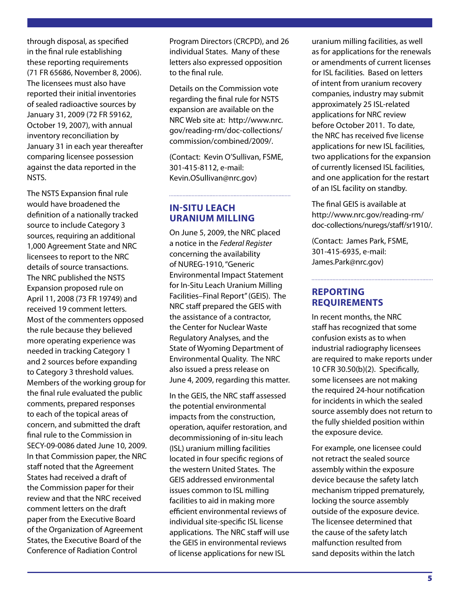through disposal, as specified in the final rule establishing these reporting requirements (71 FR 65686, November 8, 2006). The licensees must also have reported their initial inventories of sealed radioactive sources by January 31, 2009 (72 FR 59162, October 19, 2007), with annual inventory reconciliation by January 31 in each year thereafter comparing licensee possession against the data reported in the NSTS.

The NSTS Expansion final rule would have broadened the definition of a nationally tracked source to include Category 3 sources, requiring an additional 1,000 Agreement State and NRC licensees to report to the NRC details of source transactions. The NRC published the NSTS Expansion proposed rule on April 11, 2008 (73 FR 19749) and received 19 comment letters. Most of the commenters opposed the rule because they believed more operating experience was needed in tracking Category 1 and 2 sources before expanding to Category 3 threshold values. Members of the working group for the final rule evaluated the public comments, prepared responses to each of the topical areas of concern, and submitted the draft final rule to the Commission in SECY-09-0086 dated June 10, 2009. In that Commission paper, the NRC staff noted that the Agreement States had received a draft of the Commission paper for their review and that the NRC received comment letters on the draft paper from the Executive Board of the Organization of Agreement States, the Executive Board of the Conference of Radiation Control

Program Directors (CRCPD), and 26 individual States. Many of these letters also expressed opposition to the final rule.

Details on the Commission vote regarding the final rule for NSTS expansion are available on the NRC Web site at: http://www.nrc. gov/reading-rm/doc-collections/ commission/combined/2009/.

(Contact: Kevin O'Sullivan, FSME, 301-415-8112, e-mail: Kevin.OSullivan@nrc.gov)

# **In-Situ Leach Uranium Milling**

On June 5, 2009, the NRC placed a notice in the *Federal Register*  concerning the availability of NUREG-1910, "Generic Environmental Impact Statement for In-Situ Leach Uranium Milling Facilities–Final Report" (GEIS). The NRC staff prepared the GEIS with the assistance of a contractor, the Center for Nuclear Waste Regulatory Analyses, and the State of Wyoming Department of Environmental Quality. The NRC also issued a press release on June 4, 2009, regarding this matter.

In the GEIS, the NRC staff assessed the potential environmental impacts from the construction, operation, aquifer restoration, and decommissioning of in-situ leach (ISL) uranium milling facilities located in four specific regions of the western United States. The GEIS addressed environmental issues common to ISL milling facilities to aid in making more efficient environmental reviews of individual site-specific ISL license applications. The NRC staff will use the GEIS in environmental reviews of license applications for new ISL

uranium milling facilities, as well as for applications for the renewals or amendments of current licenses for ISL facilities. Based on letters of intent from uranium recovery companies, industry may submit approximately 25 ISL-related applications for NRC review before October 2011. To date, the NRC has received five license applications for new ISL facilities, two applications for the expansion of currently licensed ISL facilities, and one application for the restart of an ISL facility on standby.

The final GEIS is available at http://www.nrc.gov/reading-rm/ doc-collections/nuregs/staff/sr1910/.

(Contact: James Park, FSME, 301-415-6935, e-mail: James.Park@nrc.gov)

# **Reporting Requirements**

In recent months, the NRC staff has recognized that some confusion exists as to when industrial radiography licensees are required to make reports under 10 CFR 30.50(b)(2). Specifically, some licensees are not making the required 24-hour notification for incidents in which the sealed source assembly does not return to the fully shielded position within the exposure device.

For example, one licensee could not retract the sealed source assembly within the exposure device because the safety latch mechanism tripped prematurely, locking the source assembly outside of the exposure device. The licensee determined that the cause of the safety latch malfunction resulted from sand deposits within the latch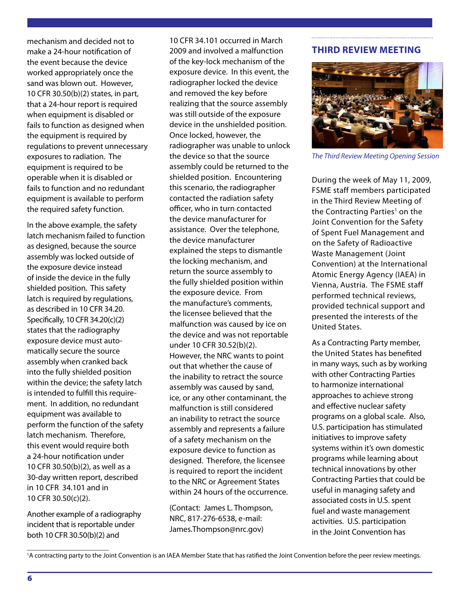mechanism and decided not to make a 24-hour notification of the event because the device worked appropriately once the sand was blown out. However, 10 CFR 30.50(b)(2) states, in part, that a 24-hour report is required when equipment is disabled or fails to function as designed when the equipment is required by regulations to prevent unnecessary exposures to radiation. The equipment is required to be operable when it is disabled or fails to function and no redundant equipment is available to perform the required safety function.

In the above example, the safety latch mechanism failed to function as designed, because the source assembly was locked outside of the exposure device instead of inside the device in the fully shielded position. This safety latch is required by regulations, as described in 10 CFR 34.20. Specifically, 10 CFR 34.20(c)(2) states that the radiography exposure device must automatically secure the source assembly when cranked back into the fully shielded position within the device; the safety latch is intended to fulfill this requirement. In addition, no redundant equipment was available to perform the function of the safety latch mechanism. Therefore, this event would require both a 24-hour notification under 10 CFR 30.50(b)(2), as well as a 30-day written report, described in 10 CFR 34.101 and in 10 CFR 30.50(c)(2).

Another example of a radiography incident that is reportable under both 10 CFR 30.50(b)(2) and

10 CFR 34.101 occurred in March 2009 and involved a malfunction of the key-lock mechanism of the exposure device. In this event, the radiographer locked the device and removed the key before realizing that the source assembly was still outside of the exposure device in the unshielded position. Once locked, however, the radiographer was unable to unlock the device so that the source assembly could be returned to the shielded position. Encountering this scenario, the radiographer contacted the radiation safety officer, who in turn contacted the device manufacturer for assistance. Over the telephone, the device manufacturer explained the steps to dismantle the locking mechanism, and return the source assembly to the fully shielded position within the exposure device. From the manufacture's comments, the licensee believed that the malfunction was caused by ice on the device and was not reportable under 10 CFR 30.52(b)(2). However, the NRC wants to point out that whether the cause of the inability to retract the source assembly was caused by sand, ice, or any other contaminant, the malfunction is still considered an inability to retract the source assembly and represents a failure of a safety mechanism on the exposure device to function as designed. Therefore, the licensee is required to report the incident to the NRC or Agreement States within 24 hours of the occurrence.

(Contact: James L. Thompson, NRC, 817-276-6538, e-mail: James.Thompson@nrc.gov)

#### **Third Review Meeting**



*The Third Review Meeting Opening Session*

During the week of May 11, 2009, FSME staff members participated in the Third Review Meeting of the Contracting Parties<sup>1</sup> on the Joint Convention for the Safety of Spent Fuel Management and on the Safety of Radioactive Waste Management (Joint Convention) at the International Atomic Energy Agency (IAEA) in Vienna, Austria. The FSME staff performed technical reviews, provided technical support and presented the interests of the United States.

As a Contracting Party member, the United States has benefited in many ways, such as by working with other Contracting Parties to harmonize international approaches to achieve strong and effective nuclear safety programs on a global scale. Also, U.S. participation has stimulated initiatives to improve safety systems within it's own domestic programs while learning about technical innovations by other Contracting Parties that could be useful in managing safety and associated costs in U.S. spent fuel and waste management activities. U.S. participation in the Joint Convention has

<sup>&</sup>lt;sup>1</sup>A contracting party to the Joint Convention is an IAEA Member State that has ratified the Joint Convention before the peer review meetings.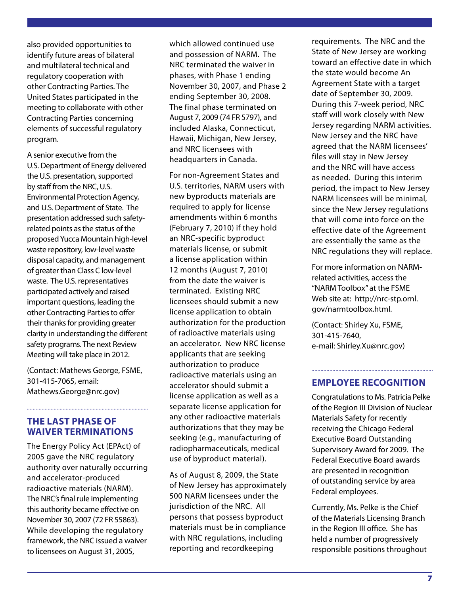also provided opportunities to identify future areas of bilateral and multilateral technical and regulatory cooperation with other Contracting Parties. The United States participated in the meeting to collaborate with other Contracting Parties concerning elements of successful regulatory program.

A senior executive from the U.S. Department of Energy delivered the U.S. presentation, supported by staff from the NRC, U.S. Environmental Protection Agency, and U.S. Department of State. The presentation addressed such safetyrelated points as the status of the proposed Yucca Mountain high-level waste repository, low-level waste disposal capacity, and management of greater than Class C low-level waste. The U.S. representatives participated actively and raised important questions, leading the other Contracting Parties to offer their thanks for providing greater clarity in understanding the different safety programs. The next Review Meeting will take place in 2012.

(Contact: Mathews George, FSME, 301-415-7065, email: Mathews.George@nrc.gov)

# **The Last Phase of Waiver Terminations**

The Energy Policy Act (EPAct) of 2005 gave the NRC regulatory authority over naturally occurring and accelerator-produced radioactive materials (NARM). The NRC's final rule implementing this authority became effective on November 30, 2007 (72 FR 55863). While developing the regulatory framework, the NRC issued a waiver to licensees on August 31, 2005,

which allowed continued use and possession of NARM. The NRC terminated the waiver in phases, with Phase 1 ending November 30, 2007, and Phase 2 ending September 30, 2008. The final phase terminated on August 7, 2009 (74 FR 5797), and included Alaska, Connecticut, Hawaii, Michigan, New Jersey, and NRC licensees with headquarters in Canada.

For non-Agreement States and U.S. territories, NARM users with new byproducts materials are required to apply for license amendments within 6 months (February 7, 2010) if they hold an NRC-specific byproduct materials license, or submit a license application within 12 months (August 7, 2010) from the date the waiver is terminated. Existing NRC licensees should submit a new license application to obtain authorization for the production of radioactive materials using an accelerator. New NRC license applicants that are seeking authorization to produce radioactive materials using an accelerator should submit a license application as well as a separate license application for any other radioactive materials authorizations that they may be seeking (e.g., manufacturing of radiopharmaceuticals, medical use of byproduct material).

As of August 8, 2009, the State of New Jersey has approximately 500 NARM licensees under the jurisdiction of the NRC. All persons that possess byproduct materials must be in compliance with NRC regulations, including reporting and recordkeeping

requirements. The NRC and the State of New Jersey are working toward an effective date in which the state would become An Agreement State with a target date of September 30, 2009. During this 7-week period, NRC staff will work closely with New Jersey regarding NARM activities. New Jersey and the NRC have agreed that the NARM licensees' files will stay in New Jersey and the NRC will have access as needed. During this interim period, the impact to New Jersey NARM licensees will be minimal, since the New Jersey regulations that will come into force on the effective date of the Agreement are essentially the same as the NRC regulations they will replace.

For more information on NARMrelated activities, access the "NARM Toolbox" at the FSME Web site at: http://nrc-stp.ornl. gov/narmtoolbox.html.

(Contact: Shirley Xu, FSME, 301-415-7640, e-mail: Shirley.Xu@nrc.gov)

### **Employee Recognition**

Congratulations to Ms. Patricia Pelke of the Region III Division of Nuclear Materials Safety for recently receiving the Chicago Federal Executive Board Outstanding Supervisory Award for 2009. The Federal Executive Board awards are presented in recognition of outstanding service by area Federal employees.

Currently, Ms. Pelke is the Chief of the Materials Licensing Branch in the Region III office. She has held a number of progressively responsible positions throughout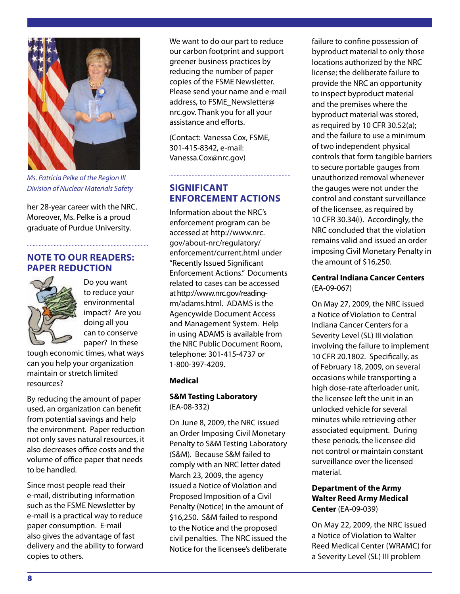

*Ms. Patricia Pelke of the Region III Division of Nuclear Materials Safety* 

her 28-year career with the NRC. Moreover, Ms. Pelke is a proud graduate of Purdue University.

#### **Note to our Readers: Paper Reduction**



Do you want to reduce your environmental impact? Are you doing all you can to conserve paper? In these

tough economic times, what ways can you help your organization maintain or stretch limited resources?

By reducing the amount of paper used, an organization can benefit from potential savings and help the environment. Paper reduction not only saves natural resources, it also decreases office costs and the volume of office paper that needs to be handled.

Since most people read their e-mail, distributing information such as the FSME Newsletter by e-mail is a practical way to reduce paper consumption. E-mail also gives the advantage of fast delivery and the ability to forward copies to others.

We want to do our part to reduce our carbon footprint and support greener business practices by reducing the number of paper copies of the FSME Newsletter. Please send your name and e-mail address, to FSME\_Newsletter@ nrc.gov. Thank you for all your assistance and efforts.

(Contact: Vanessa Cox, FSME, 301-415-8342, e-mail: Vanessa.Cox@nrc.gov)

# **SIGNIFICANT ENFORCEMENT ACTIONS**

Information about the NRC's enforcement program can be accessed at http://www.nrc. gov/about-nrc/regulatory/ enforcement/current.html under "Recently Issued Significant Enforcement Actions." Documents related to cases can be accessed at http://www.nrc.gov/readingrm/adams.html. ADAMS is the Agencywide Document Access and Management System. Help in using ADAMS is available from the NRC Public Document Room, telephone: 301-415-4737 or 1-800-397-4209.

#### **Medical**

#### **S&M Testing Laboratory** (EA-08-332)

On June 8, 2009, the NRC issued an Order Imposing Civil Monetary Penalty to S&M Testing Laboratory (S&M). Because S&M failed to comply with an NRC letter dated March 23, 2009, the agency issued a Notice of Violation and Proposed Imposition of a Civil Penalty (Notice) in the amount of \$16,250. S&M failed to respond to the Notice and the proposed civil penalties. The NRC issued the Notice for the licensee's deliberate failure to confine possession of byproduct material to only those locations authorized by the NRC license; the deliberate failure to provide the NRC an opportunity to inspect byproduct material and the premises where the byproduct material was stored, as required by 10 CFR 30.52(a); and the failure to use a minimum of two independent physical controls that form tangible barriers to secure portable gauges from unauthorized removal whenever the gauges were not under the control and constant surveillance of the licensee, as required by 10 CFR 30.34(i). Accordingly, the NRC concluded that the violation remains valid and issued an order imposing Civil Monetary Penalty in the amount of \$16,250.

#### **Central Indiana Cancer Centers** (EA-09-067)

On May 27, 2009, the NRC issued a Notice of Violation to Central Indiana Cancer Centers for a Severity Level (SL) III violation involving the failure to implement 10 CFR 20.1802. Specifically, as of February 18, 2009, on several occasions while transporting a high dose-rate afterloader unit, the licensee left the unit in an unlocked vehicle for several minutes while retrieving other associated equipment. During these periods, the licensee did not control or maintain constant surveillance over the licensed material.

#### **Department of the Army Walter Reed Army Medical Center** (EA-09-039)

On May 22, 2009, the NRC issued a Notice of Violation to Walter Reed Medical Center (WRAMC) for a Severity Level (SL) III problem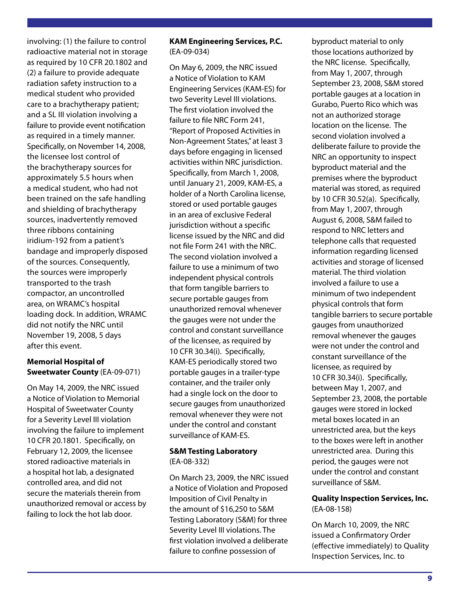involving: (1) the failure to control radioactive material not in storage as required by 10 CFR 20.1802 and (2) a failure to provide adequate radiation safety instruction to a medical student who provided care to a brachytherapy patient; and a SL III violation involving a failure to provide event notification as required in a timely manner. Specifically, on November 14, 2008, the licensee lost control of the brachytherapy sources for approximately 5.5 hours when a medical student, who had not been trained on the safe handling and shielding of brachytherapy sources, inadvertently removed three ribbons containing iridium-192 from a patient's bandage and improperly disposed of the sources. Consequently, the sources were improperly transported to the trash compactor, an uncontrolled area, on WRAMC's hospital loading dock. In addition, WRAMC did not notify the NRC until November 19, 2008, 5 days after this event.

#### **Memorial Hospital of Sweetwater County** (EA-09-071)

On May 14, 2009, the NRC issued a Notice of Violation to Memorial Hospital of Sweetwater County for a Severity Level III violation involving the failure to implement 10 CFR 20.1801. Specifically, on February 12, 2009, the licensee stored radioactive materials in a hospital hot lab, a designated controlled area, and did not secure the materials therein from unauthorized removal or access by failing to lock the hot lab door.

#### **KAM Engineering Services, P.C.**  (EA-09-034)

On May 6, 2009, the NRC issued a Notice of Violation to KAM Engineering Services (KAM-ES) for two Severity Level III violations. The first violation involved the failure to file NRC Form 241, "Report of Proposed Activities in Non-Agreement States," at least 3 days before engaging in licensed activities within NRC jurisdiction. Specifically, from March 1, 2008, until January 21, 2009, KAM-ES, a holder of a North Carolina license, stored or used portable gauges in an area of exclusive Federal jurisdiction without a specific license issued by the NRC and did not file Form 241 with the NRC. The second violation involved a failure to use a minimum of two independent physical controls that form tangible barriers to secure portable gauges from unauthorized removal whenever the gauges were not under the control and constant surveillance of the licensee, as required by 10 CFR 30.34(i). Specifically, KAM-ES periodically stored two portable gauges in a trailer-type container, and the trailer only had a single lock on the door to secure gauges from unauthorized removal whenever they were not under the control and constant surveillance of KAM-ES.

#### **S&M Testing Laboratory** (EA-08-332)

On March 23, 2009, the NRC issued a Notice of Violation and Proposed Imposition of Civil Penalty in the amount of \$16,250 to S&M Testing Laboratory (S&M) for three Severity Level III violations. The first violation involved a deliberate failure to confine possession of

byproduct material to only those locations authorized by the NRC license. Specifically, from May 1, 2007, through September 23, 2008, S&M stored portable gauges at a location in Gurabo, Puerto Rico which was not an authorized storage location on the license. The second violation involved a deliberate failure to provide the NRC an opportunity to inspect byproduct material and the premises where the byproduct material was stored, as required by 10 CFR 30.52(a). Specifically, from May 1, 2007, through August 6, 2008, S&M failed to respond to NRC letters and telephone calls that requested information regarding licensed activities and storage of licensed material. The third violation involved a failure to use a minimum of two independent physical controls that form tangible barriers to secure portable gauges from unauthorized removal whenever the gauges were not under the control and constant surveillance of the licensee, as required by 10 CFR 30.34(i). Specifically, between May 1, 2007, and September 23, 2008, the portable gauges were stored in locked metal boxes located in an unrestricted area, but the keys to the boxes were left in another unrestricted area. During this period, the gauges were not under the control and constant surveillance of S&M.

#### **Quality Inspection Services, Inc.**  (EA-08-158)

On March 10, 2009, the NRC issued a Confirmatory Order (effective immediately) to Quality Inspection Services, Inc. to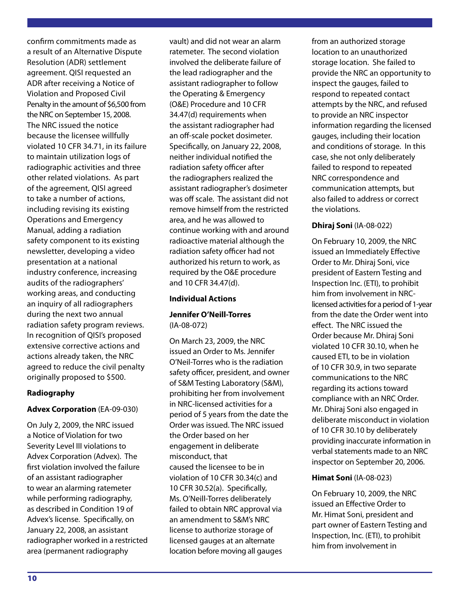confirm commitments made as a result of an Alternative Dispute Resolution (ADR) settlement agreement. QISI requested an ADR after receiving a Notice of Violation and Proposed Civil Penalty in the amount of \$6,500 from the NRC on September 15, 2008. The NRC issued the notice because the licensee willfully violated 10 CFR 34.71, in its failure to maintain utilization logs of radiographic activities and three other related violations. As part of the agreement, QISI agreed to take a number of actions, including revising its existing Operations and Emergency Manual, adding a radiation safety component to its existing newsletter, developing a video presentation at a national industry conference, increasing audits of the radiographers' working areas, and conducting an inquiry of all radiographers during the next two annual radiation safety program reviews. In recognition of QISI's proposed extensive corrective actions and actions already taken, the NRC agreed to reduce the civil penalty originally proposed to \$500.

#### **Radiography**

#### **Advex Corporation** (EA-09-030)

On July 2, 2009, the NRC issued a Notice of Violation for two Severity Level III violations to Advex Corporation (Advex). The first violation involved the failure of an assistant radiographer to wear an alarming ratemeter while performing radiography, as described in Condition 19 of Advex's license. Specifically, on January 22, 2008, an assistant radiographer worked in a restricted area (permanent radiography

vault) and did not wear an alarm ratemeter. The second violation involved the deliberate failure of the lead radiographer and the assistant radiographer to follow the Operating & Emergency (O&E) Procedure and 10 CFR 34.47(d) requirements when the assistant radiographer had an off-scale pocket dosimeter. Specifically, on January 22, 2008, neither individual notified the radiation safety officer after the radiographers realized the assistant radiographer's dosimeter was off scale. The assistant did not remove himself from the restricted area, and he was allowed to continue working with and around radioactive material although the radiation safety officer had not authorized his return to work, as required by the O&E procedure and 10 CFR 34.47(d).

#### **Individual Actions**

#### **Jennifer O'Neill-Torres**  (IA-08-072)

On March 23, 2009, the NRC issued an Order to Ms. Jennifer O'Neil-Torres who is the radiation safety officer, president, and owner of S&M Testing Laboratory (S&M), prohibiting her from involvement in NRC-licensed activities for a period of 5 years from the date the Order was issued. The NRC issued the Order based on her engagement in deliberate misconduct, that caused the licensee to be in violation of 10 CFR 30.34(c) and 10 CFR 30.52(a). Specifically, Ms. O'Neill-Torres deliberately failed to obtain NRC approval via an amendment to S&M's NRC license to authorize storage of licensed gauges at an alternate location before moving all gauges

from an authorized storage location to an unauthorized storage location. She failed to provide the NRC an opportunity to inspect the gauges, failed to respond to repeated contact attempts by the NRC, and refused to provide an NRC inspector information regarding the licensed gauges, including their location and conditions of storage. In this case, she not only deliberately failed to respond to repeated NRC correspondence and communication attempts, but also failed to address or correct the violations.

#### **Dhiraj Soni** (IA-08-022)

On February 10, 2009, the NRC issued an Immediately Effective Order to Mr. Dhiraj Soni, vice president of Eastern Testing and Inspection Inc. (ETI), to prohibit him from involvement in NRClicensed activities for a period of 1-year from the date the Order went into effect. The NRC issued the Order because Mr. Dhiraj Soni violated 10 CFR 30.10, when he caused ETI, to be in violation of 10 CFR 30.9, in two separate communications to the NRC regarding its actions toward compliance with an NRC Order. Mr. Dhiraj Soni also engaged in deliberate misconduct in violation of 10 CFR 30.10 by deliberately providing inaccurate information in verbal statements made to an NRC inspector on September 20, 2006.

#### **Himat Soni** (IA-08-023)

On February 10, 2009, the NRC issued an Effective Order to Mr. Himat Soni, president and part owner of Eastern Testing and Inspection, Inc. (ETI), to prohibit him from involvement in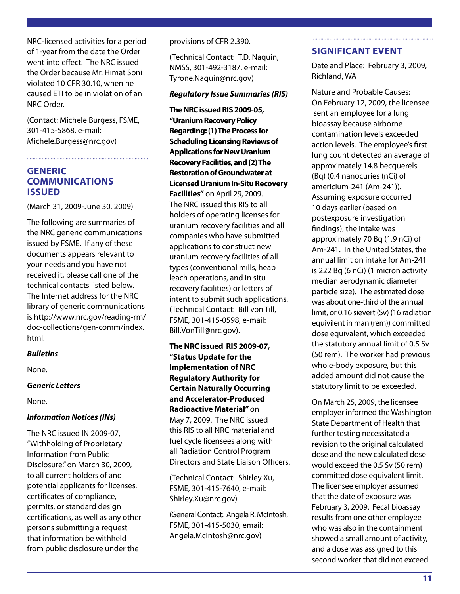NRC-licensed activities for a period of 1-year from the date the Order went into effect. The NRC issued the Order because Mr. Himat Soni violated 10 CFR 30.10, when he caused ETI to be in violation of an NRC Order.

(Contact: Michele Burgess, FSME, 301-415-5868, e-mail: Michele.Burgess@nrc.gov)

# **GENERIC COMMUNICATIONS ISSUED**

(March 31, 2009-June 30, 2009)

The following are summaries of the NRC generic communications issued by FSME. If any of these documents appears relevant to your needs and you have not received it, please call one of the technical contacts listed below. The Internet address for the NRC library of generic communications is http://www.nrc.gov/reading-rm/ doc-collections/gen-comm/index. html.

#### *Bulletins*

None.

#### *Generic Letters*

None.

#### *Information Notices (INs)*

The NRC issued IN 2009-07, "Withholding of Proprietary Information from Public Disclosure," on March 30, 2009, to all current holders of and potential applicants for licenses, certificates of compliance, permits, or standard design certifications, as well as any other persons submitting a request that information be withheld from public disclosure under the

provisions of CFR 2.390.

(Technical Contact: T.D. Naquin, NMSS, 301-492-3187, e-mail: Tyrone.Naquin@nrc.gov)

#### *Regulatory Issue Summaries (RIS)*

**The NRC issued RIS 2009-05, "Uranium Recovery Policy Regarding: (1) The Process for Scheduling Licensing Reviews of Applications for New Uranium Recovery Facilities, and (2) The Restoration of Groundwater at Licensed Uranium In-Situ Recovery Facilities"** on April 29, 2009. The NRC issued this RIS to all holders of operating licenses for uranium recovery facilities and all companies who have submitted applications to construct new uranium recovery facilities of all types (conventional mills, heap leach operations, and in situ recovery facilities) or letters of intent to submit such applications. (Technical Contact: Bill von Till, FSME, 301-415-0598, e-mail: Bill.VonTill@nrc.gov).

**The NRC issued RIS 2009-07, "Status Update for the Implementation of NRC Regulatory Authority for Certain Naturally Occurring and Accelerator-Produced Radioactive Material"** on May 7, 2009. The NRC issued this RIS to all NRC material and fuel cycle licensees along with all Radiation Control Program Directors and State Liaison Officers.

(Technical Contact: Shirley Xu, FSME, 301-415-7640, e-mail: Shirley.Xu@nrc.gov)

(General Contact: Angela R. McIntosh, FSME, 301-415-5030, email: Angela.McIntosh@nrc.gov)

#### **SIGNIFICANT EVENT**

Date and Place: February 3, 2009, Richland, WA

Nature and Probable Causes: On February 12, 2009, the licensee sent an employee for a lung bioassay because airborne contamination levels exceeded action levels. The employee's first lung count detected an average of approximately 14.8 becquerels (Bq) (0.4 nanocuries (nCi) of americium-241 (Am-241)). Assuming exposure occurred 10 days earlier (based on postexposure investigation findings), the intake was approximately 70 Bq (1.9 nCi) of Am-241. In the United States, the annual limit on intake for Am-241 is 222 Bq (6 nCi) (1 micron activity median aerodynamic diameter particle size). The estimated dose was about one-third of the annual limit, or 0.16 sievert (Sv) (16 radiation equivilent in man (rem)) committed dose equivalent, which exceeded the statutory annual limit of 0.5 Sv (50 rem). The worker had previous whole-body exposure, but this added amount did not cause the statutory limit to be exceeded.

On March 25, 2009, the licensee employer informed the Washington State Department of Health that further testing necessitated a revision to the original calculated dose and the new calculated dose would exceed the 0.5 Sv (50 rem) committed dose equivalent limit. The licensee employer assumed that the date of exposure was February 3, 2009. Fecal bioassay results from one other employee who was also in the containment showed a small amount of activity, and a dose was assigned to this second worker that did not exceed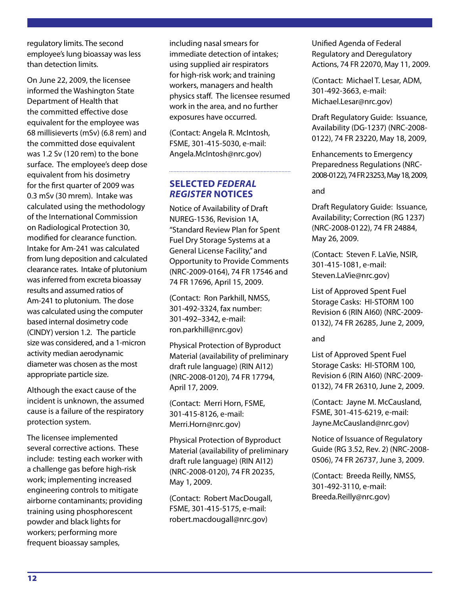regulatory limits. The second employee's lung bioassay was less than detection limits.

On June 22, 2009, the licensee informed the Washington State Department of Health that the committed effective dose equivalent for the employee was 68 millisieverts (mSv) (6.8 rem) and the committed dose equivalent was 1.2 Sv (120 rem) to the bone surface. The employee's deep dose equivalent from his dosimetry for the first quarter of 2009 was 0.3 mSv (30 mrem). Intake was calculated using the methodology of the International Commission on Radiological Protection 30, modified for clearance function. Intake for Am-241 was calculated from lung deposition and calculated clearance rates. Intake of plutonium was inferred from excreta bioassay results and assumed ratios of Am-241 to plutonium. The dose was calculated using the computer based internal dosimetry code (CINDY) version 1.2. The particle size was considered, and a 1-micron activity median aerodynamic diameter was chosen as the most appropriate particle size.

Although the exact cause of the incident is unknown, the assumed cause is a failure of the respiratory protection system.

The licensee implemented several corrective actions. These include: testing each worker with a challenge gas before high-risk work; implementing increased engineering controls to mitigate airborne contaminants; providing training using phosphorescent powder and black lights for workers; performing more frequent bioassay samples,

including nasal smears for immediate detection of intakes; using supplied air respirators for high-risk work; and training workers, managers and health physics staff. The licensee resumed work in the area, and no further exposures have occurred.

(Contact: Angela R. McIntosh, FSME, 301-415-5030, e-mail: Angela.McIntosh@nrc.gov)

#### **SELECTED** *FEDERAL REGISTER* **NOTICES**

Notice of Availability of Draft NUREG-1536, Revision 1A, "Standard Review Plan for Spent Fuel Dry Storage Systems at a General License Facility," and Opportunity to Provide Comments (NRC-2009-0164), 74 FR 17546 and 74 FR 17696, April 15, 2009.

(Contact: Ron Parkhill, NMSS, 301-492-3324, fax number: 301-492–3342, e-mail: ron.parkhill@nrc.gov)

Physical Protection of Byproduct Material (availability of preliminary draft rule language) (RIN AI12) (NRC-2008-0120), 74 FR 17794, April 17, 2009.

(Contact: Merri Horn, FSME, 301-415-8126, e-mail: Merri.Horn@nrc.gov)

Physical Protection of Byproduct Material (availability of preliminary draft rule language) (RIN AI12) (NRC-2008-0120), 74 FR 20235, May 1, 2009.

(Contact: Robert MacDougall, FSME, 301-415-5175, e-mail: robert.macdougall@nrc.gov)

Unified Agenda of Federal Regulatory and Deregulatory Actions, 74 FR 22070, May 11, 2009.

(Contact: Michael T. Lesar, ADM, 301-492-3663, e-mail: Michael.Lesar@nrc.gov)

Draft Regulatory Guide: Issuance, Availability (DG-1237) (NRC-2008- 0122), 74 FR 23220, May 18, 2009,

Enhancements to Emergency Preparedness Regulations (NRC-2008-0122), 74 FR 23253, May 18, 2009,

and

Draft Regulatory Guide: Issuance, Availability; Correction (RG 1237) (NRC-2008-0122), 74 FR 24884, May 26, 2009.

(Contact: Steven F. LaVie, NSIR, 301-415-1081, e-mail: Steven.LaVie@nrc.gov)

List of Approved Spent Fuel Storage Casks: HI-STORM 100 Revision 6 (RIN AI60) (NRC-2009- 0132), 74 FR 26285, June 2, 2009,

and

List of Approved Spent Fuel Storage Casks: HI-STORM 100, Revision 6 (RIN AI60) (NRC-2009- 0132), 74 FR 26310, June 2, 2009.

(Contact: Jayne M. McCausland, FSME, 301-415-6219, e-mail: Jayne.McCausland@nrc.gov)

Notice of Issuance of Regulatory Guide (RG 3.52, Rev. 2) (NRC-2008- 0506), 74 FR 26737, June 3, 2009.

(Contact: Breeda Reilly, NMSS, 301-492-3110, e-mail: Breeda.Reilly@nrc.gov)